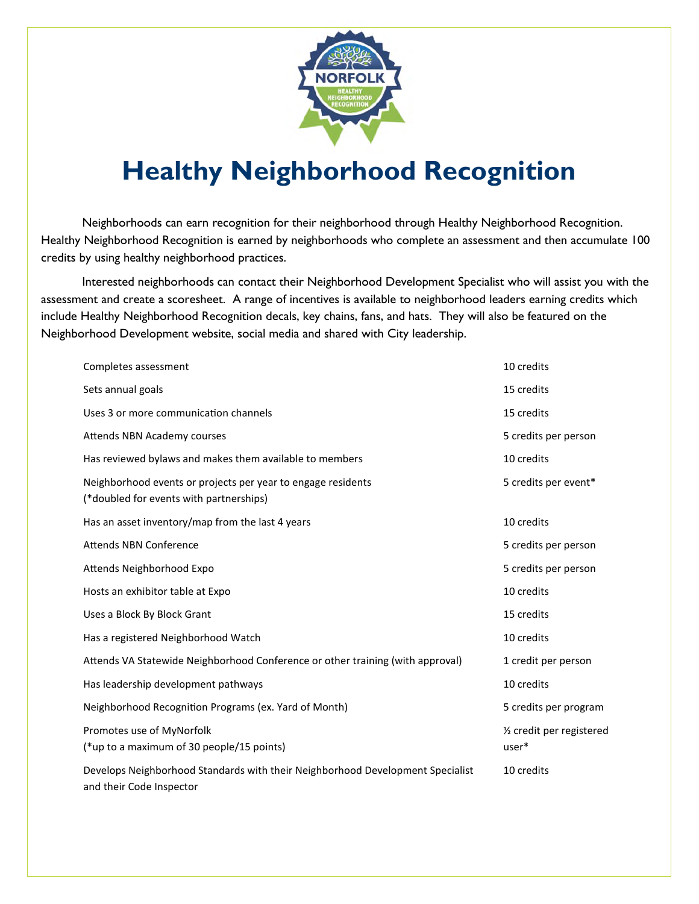

## **Healthy Neighborhood Recognition**

Neighborhoods can earn recognition for their neighborhood through Healthy Neighborhood Recognition. Healthy Neighborhood Recognition is earned by neighborhoods who complete an assessment and then accumulate 100 credits by using healthy neighborhood practices.

Interested neighborhoods can contact their Neighborhood Development Specialist who will assist you with the assessment and create a scoresheet. A range of incentives is available to neighborhood leaders earning credits which include Healthy Neighborhood Recognition decals, key chains, fans, and hats. They will also be featured on the Neighborhood Development website, social media and shared with City leadership.

| Completes assessment                                                                                       | 10 credits                                     |
|------------------------------------------------------------------------------------------------------------|------------------------------------------------|
| Sets annual goals                                                                                          | 15 credits                                     |
| Uses 3 or more communication channels                                                                      | 15 credits                                     |
| Attends NBN Academy courses                                                                                | 5 credits per person                           |
| Has reviewed bylaws and makes them available to members                                                    | 10 credits                                     |
| Neighborhood events or projects per year to engage residents<br>(*doubled for events with partnerships)    | 5 credits per event*                           |
| Has an asset inventory/map from the last 4 years                                                           | 10 credits                                     |
| <b>Attends NBN Conference</b>                                                                              | 5 credits per person                           |
| Attends Neighborhood Expo                                                                                  | 5 credits per person                           |
| Hosts an exhibitor table at Expo                                                                           | 10 credits                                     |
| Uses a Block By Block Grant                                                                                | 15 credits                                     |
| Has a registered Neighborhood Watch                                                                        | 10 credits                                     |
| Attends VA Statewide Neighborhood Conference or other training (with approval)                             | 1 credit per person                            |
| Has leadership development pathways                                                                        | 10 credits                                     |
| Neighborhood Recognition Programs (ex. Yard of Month)                                                      | 5 credits per program                          |
| Promotes use of MyNorfolk<br>(*up to a maximum of 30 people/15 points)                                     | 1/ <sub>2</sub> credit per registered<br>user* |
| Develops Neighborhood Standards with their Neighborhood Development Specialist<br>and their Code Inspector | 10 credits                                     |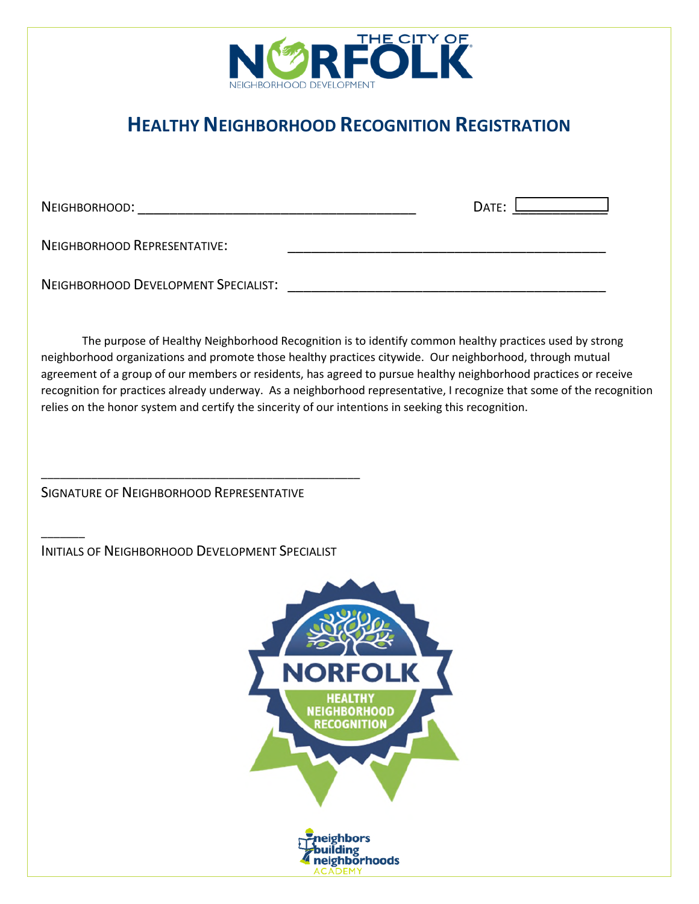

## **HEALTHY NEIGHBORHOOD RECOGNITION REGISTRATION**

 $\overline{\phantom{a}}$ 

NEIGHBORHOOD: \_\_\_\_\_\_\_\_\_\_\_\_\_\_\_\_\_\_\_\_\_\_\_\_\_\_\_\_\_\_\_\_\_\_\_ DATE: \_\_\_\_\_\_\_\_\_\_\_\_

NEIGHBORHOOD REPRESENTATIVE:

NEIGHBORHOOD DEVELOPMENT SPECIALIST: **We are also assessed to the contract of the set of the contract of the contract of the contract of the contract of the contract of the contract of the contract of the contract of the c** 

The purpose of Healthy Neighborhood Recognition is to identify common healthy practices used by strong neighborhood organizations and promote those healthy practices citywide. Our neighborhood, through mutual agreement of a group of our members or residents, has agreed to pursue healthy neighborhood practices or receive recognition for practices already underway. As a neighborhood representative, I recognize that some of the recognition relies on the honor system and certify the sincerity of our intentions in seeking this recognition.

SIGNATURE OF NEIGHBORHOOD REPRESENTATIVE

INITIALS OF NEIGHBORHOOD DEVELOPMENT SPECIALIST

\_\_\_\_\_\_\_\_\_\_\_\_\_\_\_\_\_\_\_\_\_\_\_\_\_\_\_\_\_\_\_\_\_\_\_\_\_\_\_\_\_\_\_\_\_\_\_\_\_\_\_